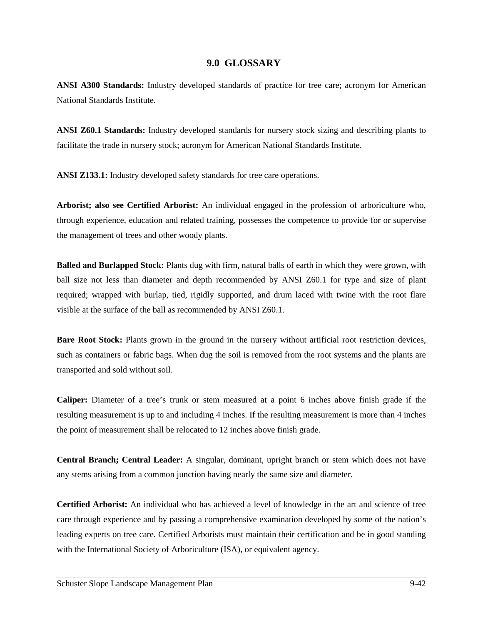## **9.0 GLOSSARY**

**ANSI A300 Standards:** Industry developed standards of practice for tree care; acronym for American National Standards Institute.

**ANSI Z60.1 Standards:** Industry developed standards for nursery stock sizing and describing plants to facilitate the trade in nursery stock; acronym for American National Standards Institute.

**ANSI Z133.1:** Industry developed safety standards for tree care operations.

**Arborist; also see Certified Arborist:** An individual engaged in the profession of arboriculture who, through experience, education and related training, possesses the competence to provide for or supervise the management of trees and other woody plants.

**Balled and Burlapped Stock:** Plants dug with firm, natural balls of earth in which they were grown, with ball size not less than diameter and depth recommended by ANSI Z60.1 for type and size of plant required; wrapped with burlap, tied, rigidly supported, and drum laced with twine with the root flare visible at the surface of the ball as recommended by ANSI Z60.1.

**Bare Root Stock:** Plants grown in the ground in the nursery without artificial root restriction devices, such as containers or fabric bags. When dug the soil is removed from the root systems and the plants are transported and sold without soil.

**Caliper:** Diameter of a tree's trunk or stem measured at a point 6 inches above finish grade if the resulting measurement is up to and including 4 inches. If the resulting measurement is more than 4 inches the point of measurement shall be relocated to 12 inches above finish grade.

**Central Branch; Central Leader:** A singular, dominant, upright branch or stem which does not have any stems arising from a common junction having nearly the same size and diameter.

**Certified Arborist:** An individual who has achieved a level of knowledge in the art and science of tree care through experience and by passing a comprehensive examination developed by some of the nation's leading experts on tree care. Certified Arborists must maintain their certification and be in good standing with the International Society of Arboriculture (ISA), or equivalent agency.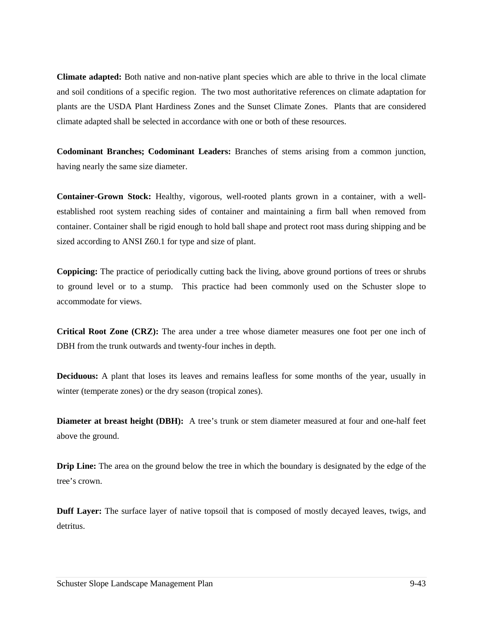**Climate adapted:** Both native and non-native plant species which are able to thrive in the local climate and soil conditions of a specific region. The two most authoritative references on climate adaptation for plants are the USDA Plant Hardiness Zones and the Sunset Climate Zones. Plants that are considered climate adapted shall be selected in accordance with one or both of these resources.

**Codominant Branches; Codominant Leaders:** Branches of stems arising from a common junction, having nearly the same size diameter.

**Container-Grown Stock:** Healthy, vigorous, well-rooted plants grown in a container, with a wellestablished root system reaching sides of container and maintaining a firm ball when removed from container. Container shall be rigid enough to hold ball shape and protect root mass during shipping and be sized according to ANSI Z60.1 for type and size of plant.

**Coppicing:** The practice of periodically cutting back the living, above ground portions of trees or shrubs to ground level or to a stump. This practice had been commonly used on the Schuster slope to accommodate for views.

**Critical Root Zone (CRZ):** The area under a tree whose diameter measures one foot per one inch of DBH from the trunk outwards and twenty-four inches in depth.

**Deciduous:** A plant that loses its leaves and remains leafless for some months of the year, usually in winter (temperate zones) or the dry season (tropical zones).

**Diameter at breast height (DBH):** A tree's trunk or stem diameter measured at four and one-half feet above the ground.

**Drip Line:** The area on the ground below the tree in which the boundary is designated by the edge of the tree's crown.

**Duff Layer:** The surface layer of native topsoil that is composed of mostly decayed leaves, twigs, and detritus.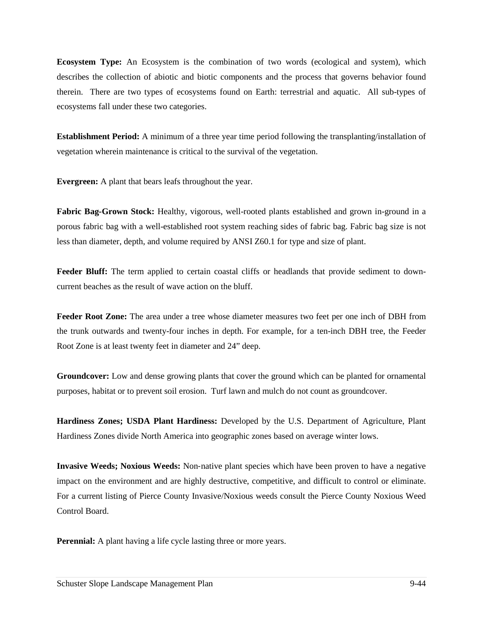**Ecosystem Type:** An Ecosystem is the combination of two words (ecological and system), which describes the collection of abiotic and biotic components and the process that governs behavior found therein. There are two types of ecosystems found on Earth: terrestrial and aquatic. All sub-types of ecosystems fall under these two categories.

**Establishment Period:** A minimum of a three year time period following the transplanting/installation of vegetation wherein maintenance is critical to the survival of the vegetation.

**Evergreen:** A plant that bears leafs throughout the year.

**Fabric Bag-Grown Stock:** Healthy, vigorous, well-rooted plants established and grown in-ground in a porous fabric bag with a well-established root system reaching sides of fabric bag. Fabric bag size is not less than diameter, depth, and volume required by ANSI Z60.1 for type and size of plant.

**Feeder Bluff:** The term applied to certain coastal cliffs or headlands that provide sediment to downcurrent beaches as the result of wave action on the bluff.

**Feeder Root Zone:** The area under a tree whose diameter measures two feet per one inch of DBH from the trunk outwards and twenty-four inches in depth. For example, for a ten-inch DBH tree, the Feeder Root Zone is at least twenty feet in diameter and 24" deep.

**Groundcover:** Low and dense growing plants that cover the ground which can be planted for ornamental purposes, habitat or to prevent soil erosion. Turf lawn and mulch do not count as groundcover.

**Hardiness Zones; USDA Plant Hardiness:** Developed by the U.S. Department of Agriculture, Plant Hardiness Zones divide North America into geographic zones based on average winter lows.

**Invasive Weeds; Noxious Weeds:** Non‐native plant species which have been proven to have a negative impact on the environment and are highly destructive, competitive, and difficult to control or eliminate. For a current listing of Pierce County Invasive/Noxious weeds consult the Pierce County Noxious Weed Control Board.

**Perennial:** A plant having a life cycle lasting three or more years.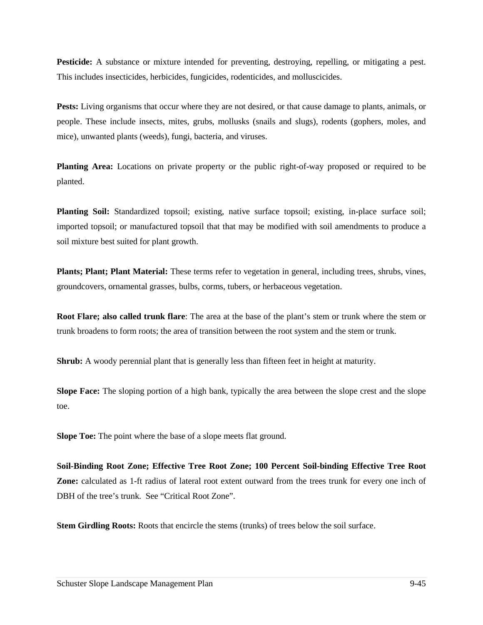**Pesticide:** A substance or mixture intended for preventing, destroying, repelling, or mitigating a pest. This includes insecticides, herbicides, fungicides, rodenticides, and molluscicides.

**Pests:** Living organisms that occur where they are not desired, or that cause damage to plants, animals, or people. These include insects, mites, grubs, mollusks (snails and slugs), rodents (gophers, moles, and mice), unwanted plants (weeds), fungi, bacteria, and viruses.

**Planting Area:** Locations on private property or the public right-of-way proposed or required to be planted.

**Planting Soil:** Standardized topsoil; existing, native surface topsoil; existing, in-place surface soil; imported topsoil; or manufactured topsoil that that may be modified with soil amendments to produce a soil mixture best suited for plant growth.

**Plants; Plant; Plant Material:** These terms refer to vegetation in general, including trees, shrubs, vines, groundcovers, ornamental grasses, bulbs, corms, tubers, or herbaceous vegetation.

**Root Flare; also called trunk flare**: The area at the base of the plant's stem or trunk where the stem or trunk broadens to form roots; the area of transition between the root system and the stem or trunk.

**Shrub:** A woody perennial plant that is generally less than fifteen feet in height at maturity.

**Slope Face:** The sloping portion of a high bank, typically the area between the slope crest and the slope toe.

**Slope Toe:** The point where the base of a slope meets flat ground.

**Soil-Binding Root Zone; Effective Tree Root Zone; 100 Percent Soil-binding Effective Tree Root Zone:** calculated as 1-ft radius of lateral root extent outward from the trees trunk for every one inch of DBH of the tree's trunk. See "Critical Root Zone".

**Stem Girdling Roots:** Roots that encircle the stems (trunks) of trees below the soil surface.